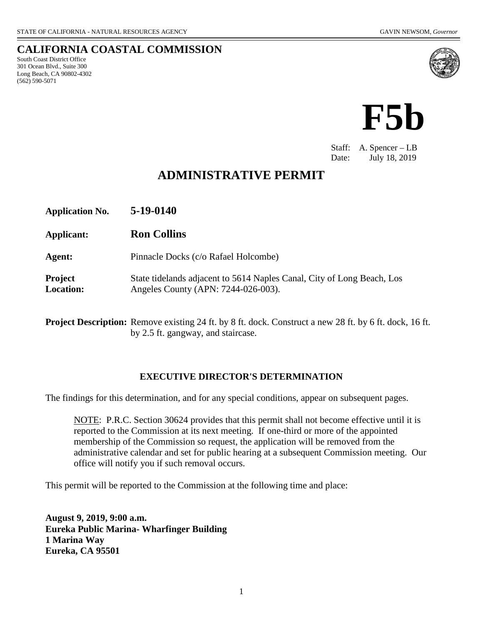South Coast District Office 301 Ocean Blvd., Suite 300 Long Beach, CA 90802-4302

(562) 590-5071

**CALIFORNIA COASTAL COMMISSION**



Staff: A. Spencer – LB Date: July 18, 2019

# **ADMINISTRATIVE PERMIT**

| <b>Application No.</b>      | 5-19-0140                                                                                                     |
|-----------------------------|---------------------------------------------------------------------------------------------------------------|
| Applicant:                  | <b>Ron Collins</b>                                                                                            |
| Agent:                      | Pinnacle Docks (c/o Rafael Holcombe)                                                                          |
| Project<br><b>Location:</b> | State tidelands adjacent to 5614 Naples Canal, City of Long Beach, Los<br>Angeles County (APN: 7244-026-003). |

**Project Description:** Remove existing 24 ft. by 8 ft. dock. Construct a new 28 ft. by 6 ft. dock, 16 ft. by 2.5 ft. gangway, and staircase.

### **EXECUTIVE DIRECTOR'S DETERMINATION**

The findings for this determination, and for any special conditions, appear on subsequent pages.

NOTE: P.R.C. Section 30624 provides that this permit shall not become effective until it is reported to the Commission at its next meeting. If one-third or more of the appointed membership of the Commission so request, the application will be removed from the administrative calendar and set for public hearing at a subsequent Commission meeting. Our office will notify you if such removal occurs.

This permit will be reported to the Commission at the following time and place:

**August 9, 2019, 9:00 a.m. Eureka Public Marina- Wharfinger Building 1 Marina Way Eureka, CA 95501**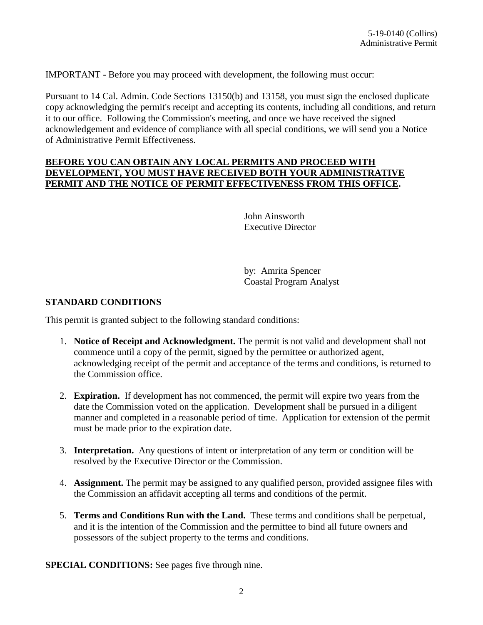#### IMPORTANT - Before you may proceed with development, the following must occur:

Pursuant to 14 Cal. Admin. Code Sections 13150(b) and 13158, you must sign the enclosed duplicate copy acknowledging the permit's receipt and accepting its contents, including all conditions, and return it to our office. Following the Commission's meeting, and once we have received the signed acknowledgement and evidence of compliance with all special conditions, we will send you a Notice of Administrative Permit Effectiveness.

#### **BEFORE YOU CAN OBTAIN ANY LOCAL PERMITS AND PROCEED WITH DEVELOPMENT, YOU MUST HAVE RECEIVED BOTH YOUR ADMINISTRATIVE PERMIT AND THE NOTICE OF PERMIT EFFECTIVENESS FROM THIS OFFICE.**

John Ainsworth Executive Director

by: Amrita Spencer Coastal Program Analyst

#### **STANDARD CONDITIONS**

This permit is granted subject to the following standard conditions:

- 1. **Notice of Receipt and Acknowledgment.** The permit is not valid and development shall not commence until a copy of the permit, signed by the permittee or authorized agent, acknowledging receipt of the permit and acceptance of the terms and conditions, is returned to the Commission office.
- 2. **Expiration.** If development has not commenced, the permit will expire two years from the date the Commission voted on the application. Development shall be pursued in a diligent manner and completed in a reasonable period of time. Application for extension of the permit must be made prior to the expiration date.
- 3. **Interpretation.** Any questions of intent or interpretation of any term or condition will be resolved by the Executive Director or the Commission.
- 4. **Assignment.** The permit may be assigned to any qualified person, provided assignee files with the Commission an affidavit accepting all terms and conditions of the permit.
- 5. **Terms and Conditions Run with the Land.** These terms and conditions shall be perpetual, and it is the intention of the Commission and the permittee to bind all future owners and possessors of the subject property to the terms and conditions.

**SPECIAL CONDITIONS:** See pages five through nine.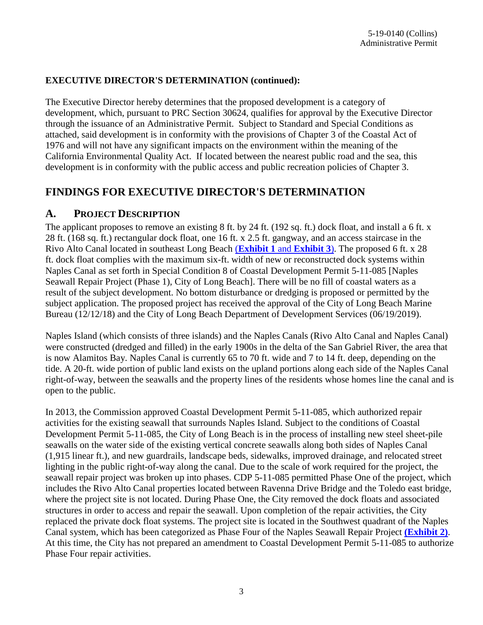## **EXECUTIVE DIRECTOR'S DETERMINATION (continued):**

The Executive Director hereby determines that the proposed development is a category of development, which, pursuant to PRC Section 30624, qualifies for approval by the Executive Director through the issuance of an Administrative Permit. Subject to Standard and Special Conditions as attached, said development is in conformity with the provisions of Chapter 3 of the Coastal Act of 1976 and will not have any significant impacts on the environment within the meaning of the California Environmental Quality Act. If located between the nearest public road and the sea, this development is in conformity with the public access and public recreation policies of Chapter 3.

# **FINDINGS FOR EXECUTIVE DIRECTOR'S DETERMINATION**

## **A. PROJECT DESCRIPTION**

The applicant proposes to remove an existing 8 ft. by 24 ft. (192 sq. ft.) dock float, and install a 6 ft. x 28 ft. (168 sq. ft.) rectangular dock float, one 16 ft. x 2.5 ft. gangway, and an access staircase in the Rivo Alto Canal located in southeast Long Beach (**[Exhibit 1](https://documents.coastal.ca.gov/reports/2019/8/F5b/F5b-8-2019-exhibits.pdf)** and **Exhibit 3**). The proposed 6 ft. x 28 ft. dock float complies with the maximum six-ft. width of new or reconstructed dock systems within Naples Canal as set forth in Special Condition 8 of Coastal Development Permit 5-11-085 [Naples Seawall Repair Project (Phase 1), City of Long Beach]. There will be no fill of coastal waters as a result of the subject development. No bottom disturbance or dredging is proposed or permitted by the subject application. The proposed project has received the approval of the City of Long Beach Marine Bureau (12/12/18) and the City of Long Beach Department of Development Services (06/19/2019).

Naples Island (which consists of three islands) and the Naples Canals (Rivo Alto Canal and Naples Canal) were constructed (dredged and filled) in the early 1900s in the delta of the San Gabriel River, the area that is now Alamitos Bay. Naples Canal is currently 65 to 70 ft. wide and 7 to 14 ft. deep, depending on the tide. A 20-ft. wide portion of public land exists on the upland portions along each side of the Naples Canal right-of-way, between the seawalls and the property lines of the residents whose homes line the canal and is open to the public.

In 2013, the Commission approved Coastal Development Permit 5-11-085, which authorized repair activities for the existing seawall that surrounds Naples Island. Subject to the conditions of Coastal Development Permit 5-11-085, the City of Long Beach is in the process of installing new steel sheet-pile seawalls on the water side of the existing vertical concrete seawalls along both sides of Naples Canal (1,915 linear ft.), and new guardrails, landscape beds, sidewalks, improved drainage, and relocated street lighting in the public right-of-way along the canal. Due to the scale of work required for the project, the seawall repair project was broken up into phases. CDP 5-11-085 permitted Phase One of the project, which includes the Rivo Alto Canal properties located between Ravenna Drive Bridge and the Toledo east bridge, where the project site is not located. During Phase One, the City removed the dock floats and associated structures in order to access and repair the seawall. Upon completion of the repair activities, the City replaced the private dock float systems. The project site is located in the Southwest quadrant of the Naples Canal system, which has been categorized as Phase Four of the Naples Seawall Repair Project **[\(Exhibit 2\)](https://documents.coastal.ca.gov/reports/2019/8/F5b/F5b-8-2019-exhibits.pdf)**. At this time, the City has not prepared an amendment to Coastal Development Permit 5-11-085 to authorize Phase Four repair activities.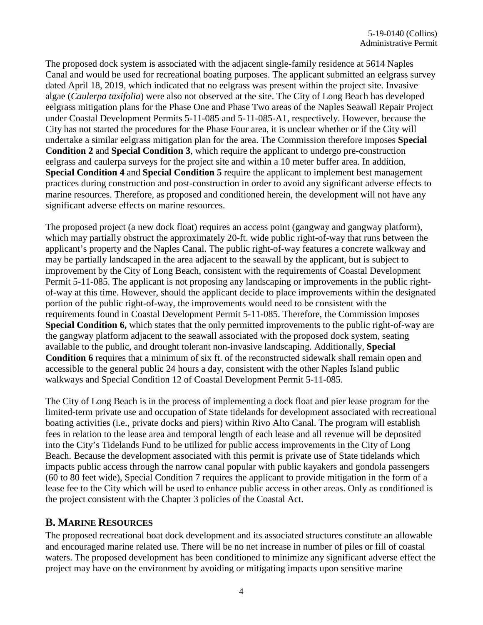The proposed dock system is associated with the adjacent single-family residence at 5614 Naples Canal and would be used for recreational boating purposes. The applicant submitted an eelgrass survey dated April 18, 2019, which indicated that no eelgrass was present within the project site. Invasive algae (*Caulerpa taxifolia*) were also not observed at the site. The City of Long Beach has developed eelgrass mitigation plans for the Phase One and Phase Two areas of the Naples Seawall Repair Project under Coastal Development Permits 5-11-085 and 5-11-085-A1, respectively. However, because the City has not started the procedures for the Phase Four area, it is unclear whether or if the City will undertake a similar eelgrass mitigation plan for the area. The Commission therefore imposes **Special Condition 2** and **Special Condition 3**, which require the applicant to undergo pre-construction eelgrass and caulerpa surveys for the project site and within a 10 meter buffer area. In addition, **Special Condition 4** and **Special Condition 5** require the applicant to implement best management practices during construction and post-construction in order to avoid any significant adverse effects to marine resources. Therefore, as proposed and conditioned herein, the development will not have any significant adverse effects on marine resources.

The proposed project (a new dock float) requires an access point (gangway and gangway platform), which may partially obstruct the approximately 20-ft. wide public right-of-way that runs between the applicant's property and the Naples Canal. The public right-of-way features a concrete walkway and may be partially landscaped in the area adjacent to the seawall by the applicant, but is subject to improvement by the City of Long Beach, consistent with the requirements of Coastal Development Permit 5-11-085. The applicant is not proposing any landscaping or improvements in the public rightof-way at this time. However, should the applicant decide to place improvements within the designated portion of the public right-of-way, the improvements would need to be consistent with the requirements found in Coastal Development Permit 5-11-085. Therefore, the Commission imposes **Special Condition 6,** which states that the only permitted improvements to the public right-of-way are the gangway platform adjacent to the seawall associated with the proposed dock system, seating available to the public, and drought tolerant non-invasive landscaping. Additionally, **Special Condition 6** requires that a minimum of six ft. of the reconstructed sidewalk shall remain open and accessible to the general public 24 hours a day, consistent with the other Naples Island public walkways and Special Condition 12 of Coastal Development Permit 5-11-085.

The City of Long Beach is in the process of implementing a dock float and pier lease program for the limited-term private use and occupation of State tidelands for development associated with recreational boating activities (i.e., private docks and piers) within Rivo Alto Canal. The program will establish fees in relation to the lease area and temporal length of each lease and all revenue will be deposited into the City's Tidelands Fund to be utilized for public access improvements in the City of Long Beach. Because the development associated with this permit is private use of State tidelands which impacts public access through the narrow canal popular with public kayakers and gondola passengers (60 to 80 feet wide), Special Condition 7 requires the applicant to provide mitigation in the form of a lease fee to the City which will be used to enhance public access in other areas. Only as conditioned is the project consistent with the Chapter 3 policies of the Coastal Act.

## **B. MARINE RESOURCES**

The proposed recreational boat dock development and its associated structures constitute an allowable and encouraged marine related use. There will be no net increase in number of piles or fill of coastal waters. The proposed development has been conditioned to minimize any significant adverse effect the project may have on the environment by avoiding or mitigating impacts upon sensitive marine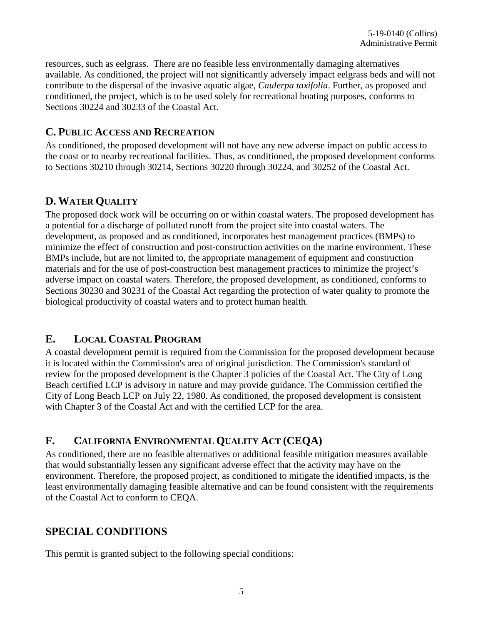resources, such as eelgrass. There are no feasible less environmentally damaging alternatives available. As conditioned, the project will not significantly adversely impact eelgrass beds and will not contribute to the dispersal of the invasive aquatic algae, *Caulerpa taxifolia*. Further, as proposed and conditioned, the project, which is to be used solely for recreational boating purposes, conforms to Sections 30224 and 30233 of the Coastal Act.

## **C. PUBLIC ACCESS AND RECREATION**

As conditioned, the proposed development will not have any new adverse impact on public access to the coast or to nearby recreational facilities. Thus, as conditioned, the proposed development conforms to Sections 30210 through 30214, Sections 30220 through 30224, and 30252 of the Coastal Act.

# **D. WATER QUALITY**

The proposed dock work will be occurring on or within coastal waters. The proposed development has a potential for a discharge of polluted runoff from the project site into coastal waters. The development, as proposed and as conditioned, incorporates best management practices (BMPs) to minimize the effect of construction and post-construction activities on the marine environment. These BMPs include, but are not limited to, the appropriate management of equipment and construction materials and for the use of post-construction best management practices to minimize the project's adverse impact on coastal waters. Therefore, the proposed development, as conditioned, conforms to Sections 30230 and 30231 of the Coastal Act regarding the protection of water quality to promote the biological productivity of coastal waters and to protect human health.

# **E. LOCAL COASTAL PROGRAM**

A coastal development permit is required from the Commission for the proposed development because it is located within the Commission's area of original jurisdiction. The Commission's standard of review for the proposed development is the Chapter 3 policies of the Coastal Act. The City of Long Beach certified LCP is advisory in nature and may provide guidance. The Commission certified the City of Long Beach LCP on July 22, 1980. As conditioned, the proposed development is consistent with Chapter 3 of the Coastal Act and with the certified LCP for the area.

# **F. CALIFORNIA ENVIRONMENTAL QUALITY ACT (CEQA)**

As conditioned, there are no feasible alternatives or additional feasible mitigation measures available that would substantially lessen any significant adverse effect that the activity may have on the environment. Therefore, the proposed project, as conditioned to mitigate the identified impacts, is the least environmentally damaging feasible alternative and can be found consistent with the requirements of the Coastal Act to conform to CEQA.

# **SPECIAL CONDITIONS**

This permit is granted subject to the following special conditions: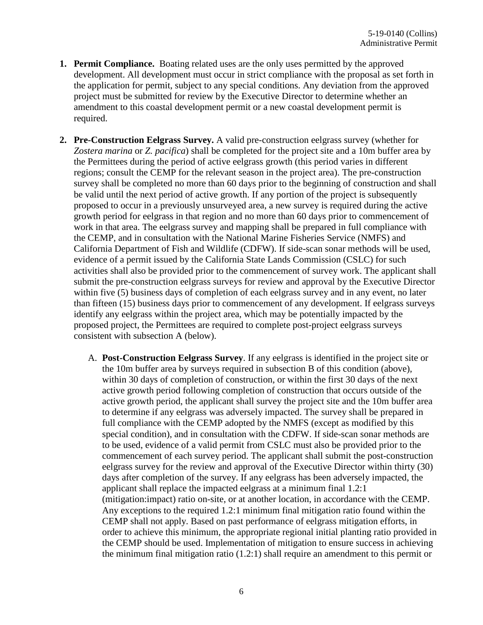- **1. Permit Compliance.** Boating related uses are the only uses permitted by the approved development. All development must occur in strict compliance with the proposal as set forth in the application for permit, subject to any special conditions. Any deviation from the approved project must be submitted for review by the Executive Director to determine whether an amendment to this coastal development permit or a new coastal development permit is required.
- **2. Pre-Construction Eelgrass Survey.** A valid pre-construction eelgrass survey (whether for *Zostera marina* or *Z. pacifica*) shall be completed for the project site and a 10m buffer area by the Permittees during the period of active eelgrass growth (this period varies in different regions; consult the CEMP for the relevant season in the project area). The pre-construction survey shall be completed no more than 60 days prior to the beginning of construction and shall be valid until the next period of active growth. If any portion of the project is subsequently proposed to occur in a previously unsurveyed area, a new survey is required during the active growth period for eelgrass in that region and no more than 60 days prior to commencement of work in that area. The eelgrass survey and mapping shall be prepared in full compliance with the CEMP, and in consultation with the National Marine Fisheries Service (NMFS) and California Department of Fish and Wildlife (CDFW). If side-scan sonar methods will be used, evidence of a permit issued by the California State Lands Commission (CSLC) for such activities shall also be provided prior to the commencement of survey work. The applicant shall submit the pre-construction eelgrass surveys for review and approval by the Executive Director within five (5) business days of completion of each eelgrass survey and in any event, no later than fifteen (15) business days prior to commencement of any development. If eelgrass surveys identify any eelgrass within the project area, which may be potentially impacted by the proposed project, the Permittees are required to complete post-project eelgrass surveys consistent with subsection A (below).
	- A. **Post-Construction Eelgrass Survey**. If any eelgrass is identified in the project site or the 10m buffer area by surveys required in subsection B of this condition (above), within 30 days of completion of construction, or within the first 30 days of the next active growth period following completion of construction that occurs outside of the active growth period, the applicant shall survey the project site and the 10m buffer area to determine if any eelgrass was adversely impacted. The survey shall be prepared in full compliance with the CEMP adopted by the NMFS (except as modified by this special condition), and in consultation with the CDFW. If side-scan sonar methods are to be used, evidence of a valid permit from CSLC must also be provided prior to the commencement of each survey period. The applicant shall submit the post-construction eelgrass survey for the review and approval of the Executive Director within thirty (30) days after completion of the survey. If any eelgrass has been adversely impacted, the applicant shall replace the impacted eelgrass at a minimum final 1.2:1 (mitigation:impact) ratio on-site, or at another location, in accordance with the CEMP. Any exceptions to the required 1.2:1 minimum final mitigation ratio found within the CEMP shall not apply. Based on past performance of eelgrass mitigation efforts, in order to achieve this minimum, the appropriate regional initial planting ratio provided in the CEMP should be used. Implementation of mitigation to ensure success in achieving the minimum final mitigation ratio (1.2:1) shall require an amendment to this permit or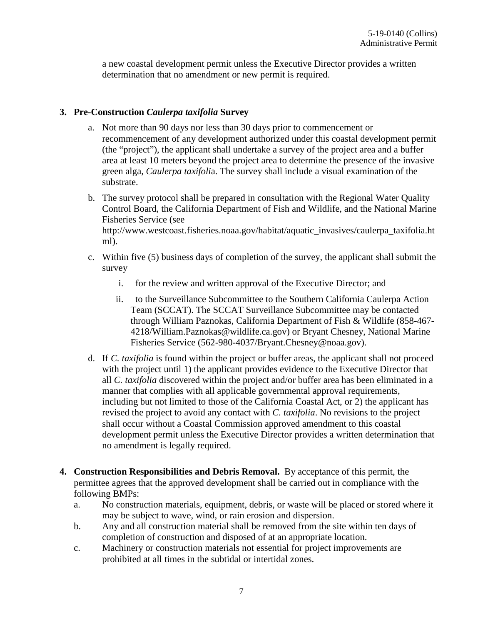a new coastal development permit unless the Executive Director provides a written determination that no amendment or new permit is required.

#### **3. Pre-Construction** *Caulerpa taxifolia* **Survey**

- a. Not more than 90 days nor less than 30 days prior to commencement or recommencement of any development authorized under this coastal development permit (the "project"), the applicant shall undertake a survey of the project area and a buffer area at least 10 meters beyond the project area to determine the presence of the invasive green alga, *Caulerpa taxifoli*a. The survey shall include a visual examination of the substrate.
- b. The survey protocol shall be prepared in consultation with the Regional Water Quality Control Board, the California Department of Fish and Wildlife, and the National Marine Fisheries Service (see http://www.westcoast.fisheries.noaa.gov/habitat/aquatic\_invasives/caulerpa\_taxifolia.ht ml).
- c. Within five (5) business days of completion of the survey, the applicant shall submit the survey
	- i. for the review and written approval of the Executive Director; and
	- ii. to the Surveillance Subcommittee to the Southern California Caulerpa Action Team (SCCAT). The SCCAT Surveillance Subcommittee may be contacted through William Paznokas, California Department of Fish & Wildlife (858-467- 4218/William.Paznokas@wildlife.ca.gov) or Bryant Chesney, National Marine Fisheries Service (562-980-4037/Bryant.Chesney@noaa.gov).
- d. If *C. taxifolia* is found within the project or buffer areas, the applicant shall not proceed with the project until 1) the applicant provides evidence to the Executive Director that all *C. taxifolia* discovered within the project and/or buffer area has been eliminated in a manner that complies with all applicable governmental approval requirements, including but not limited to those of the California Coastal Act, or 2) the applicant has revised the project to avoid any contact with *C. taxifolia*. No revisions to the project shall occur without a Coastal Commission approved amendment to this coastal development permit unless the Executive Director provides a written determination that no amendment is legally required.
- **4. Construction Responsibilities and Debris Removal.** By acceptance of this permit, the permittee agrees that the approved development shall be carried out in compliance with the following BMPs:
	- a. No construction materials, equipment, debris, or waste will be placed or stored where it may be subject to wave, wind, or rain erosion and dispersion.
	- b. Any and all construction material shall be removed from the site within ten days of completion of construction and disposed of at an appropriate location.
	- c. Machinery or construction materials not essential for project improvements are prohibited at all times in the subtidal or intertidal zones.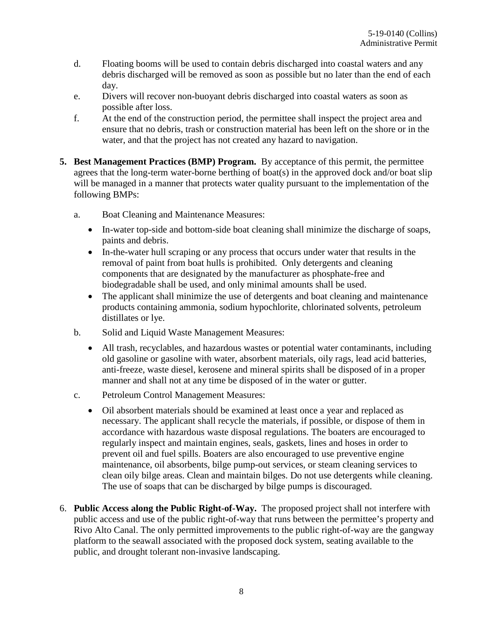- d. Floating booms will be used to contain debris discharged into coastal waters and any debris discharged will be removed as soon as possible but no later than the end of each day.
- e. Divers will recover non-buoyant debris discharged into coastal waters as soon as possible after loss.
- f. At the end of the construction period, the permittee shall inspect the project area and ensure that no debris, trash or construction material has been left on the shore or in the water, and that the project has not created any hazard to navigation.
- **5. Best Management Practices (BMP) Program.** By acceptance of this permit, the permittee agrees that the long-term water-borne berthing of boat(s) in the approved dock and/or boat slip will be managed in a manner that protects water quality pursuant to the implementation of the following BMPs:
	- a. Boat Cleaning and Maintenance Measures:
		- In-water top-side and bottom-side boat cleaning shall minimize the discharge of soaps, paints and debris.
		- In-the-water hull scraping or any process that occurs under water that results in the removal of paint from boat hulls is prohibited. Only detergents and cleaning components that are designated by the manufacturer as phosphate-free and biodegradable shall be used, and only minimal amounts shall be used.
		- The applicant shall minimize the use of detergents and boat cleaning and maintenance products containing ammonia, sodium hypochlorite, chlorinated solvents, petroleum distillates or lye.
	- b. Solid and Liquid Waste Management Measures:
		- All trash, recyclables, and hazardous wastes or potential water contaminants, including old gasoline or gasoline with water, absorbent materials, oily rags, lead acid batteries, anti-freeze, waste diesel, kerosene and mineral spirits shall be disposed of in a proper manner and shall not at any time be disposed of in the water or gutter.
	- c. Petroleum Control Management Measures:
		- Oil absorbent materials should be examined at least once a year and replaced as necessary. The applicant shall recycle the materials, if possible, or dispose of them in accordance with hazardous waste disposal regulations. The boaters are encouraged to regularly inspect and maintain engines, seals, gaskets, lines and hoses in order to prevent oil and fuel spills. Boaters are also encouraged to use preventive engine maintenance, oil absorbents, bilge pump-out services, or steam cleaning services to clean oily bilge areas. Clean and maintain bilges. Do not use detergents while cleaning. The use of soaps that can be discharged by bilge pumps is discouraged.
- 6. **Public Access along the Public Right-of-Way.** The proposed project shall not interfere with public access and use of the public right-of-way that runs between the permittee's property and Rivo Alto Canal. The only permitted improvements to the public right-of-way are the gangway platform to the seawall associated with the proposed dock system, seating available to the public, and drought tolerant non-invasive landscaping.